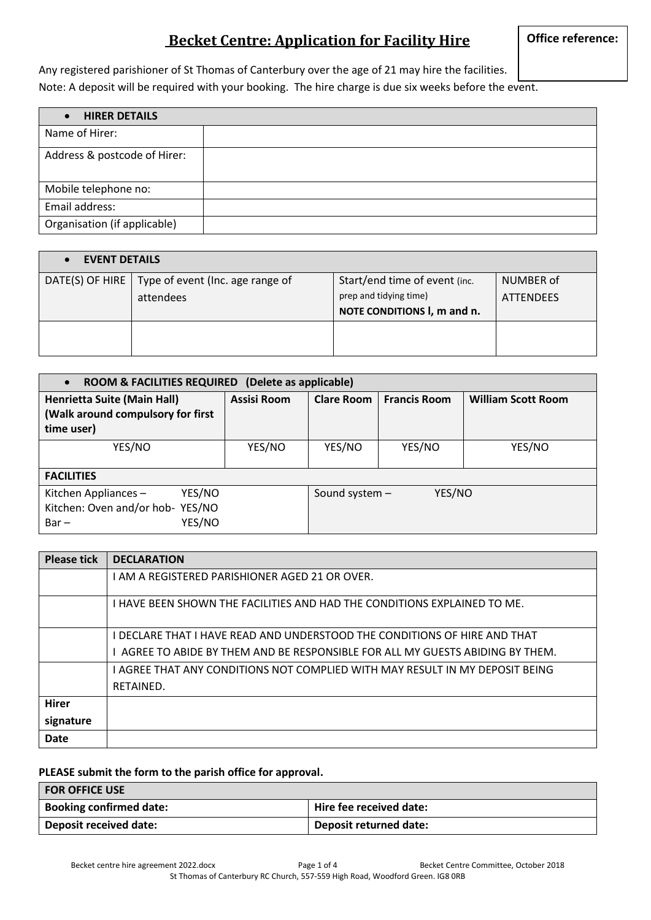### **Becket Centre: Application for Facility Hire**

Any registered parishioner of St Thomas of Canterbury over the age of 21 may hire the facilities. Note: A deposit will be required with your booking. The hire charge is due six weeks before the event.

| <b>HIRER DETAILS</b>         |  |
|------------------------------|--|
| Name of Hirer:               |  |
| Address & postcode of Hirer: |  |
| Mobile telephone no:         |  |
| Email address:               |  |
| Organisation (if applicable) |  |

| <b>EVENT DETAILS</b> |                                  |                               |                  |
|----------------------|----------------------------------|-------------------------------|------------------|
| DATE(S) OF HIRE      | Type of event (Inc. age range of | Start/end time of event (inc. | NUMBER of        |
|                      | attendees                        | prep and tidying time)        | <b>ATTENDEES</b> |
|                      |                                  | NOTE CONDITIONS I, m and n.   |                  |
|                      |                                  |                               |                  |
|                      |                                  |                               |                  |

| ROOM & FACILITIES REQUIRED (Delete as applicable)                                       |             |                   |                     |                           |
|-----------------------------------------------------------------------------------------|-------------|-------------------|---------------------|---------------------------|
| <b>Henrietta Suite (Main Hall)</b><br>(Walk around compulsory for first<br>time user)   | Assisi Room | <b>Clare Room</b> | <b>Francis Room</b> | <b>William Scott Room</b> |
| YES/NO                                                                                  | YES/NO      | YES/NO            | YES/NO              | YES/NO                    |
| <b>FACILITIES</b>                                                                       |             |                   |                     |                           |
| YES/NO<br>Kitchen Appliances -<br>Kitchen: Oven and/or hob- YES/NO<br>YES/NO<br>$Bar -$ |             | Sound system -    | YES/NO              |                           |

| <b>Please tick</b> | <b>DECLARATION</b>                                                             |
|--------------------|--------------------------------------------------------------------------------|
|                    | I AM A REGISTERED PARISHIONER AGED 21 OR OVER.                                 |
|                    | I HAVE BEEN SHOWN THE FACILITIES AND HAD THE CONDITIONS EXPLAINED TO ME.       |
|                    | I DECLARE THAT I HAVE READ AND UNDERSTOOD THE CONDITIONS OF HIRE AND THAT      |
|                    | I AGREE TO ABIDE BY THEM AND BE RESPONSIBLE FOR ALL MY GUESTS ABIDING BY THEM. |
|                    | I AGREE THAT ANY CONDITIONS NOT COMPLIED WITH MAY RESULT IN MY DEPOSIT BEING   |
|                    | RETAINED.                                                                      |
| <b>Hirer</b>       |                                                                                |
| signature          |                                                                                |
| <b>Date</b>        |                                                                                |

#### **PLEASE submit the form to the parish office for approval.**

| l FOR OFFICE USE               |                         |
|--------------------------------|-------------------------|
| <b>Booking confirmed date:</b> | Hire fee received date: |
| Deposit received date:         | Deposit returned date:  |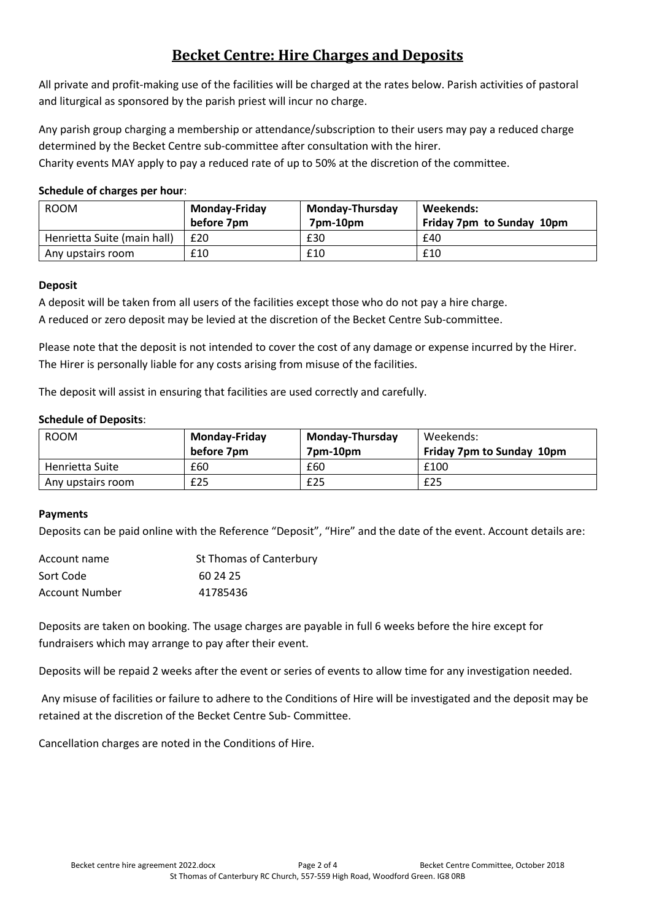# **Becket Centre: Hire Charges and Deposits**

All private and profit-making use of the facilities will be charged at the rates below. Parish activities of pastoral and liturgical as sponsored by the parish priest will incur no charge.

Any parish group charging a membership or attendance/subscription to their users may pay a reduced charge determined by the Becket Centre sub-committee after consultation with the hirer.

Charity events MAY apply to pay a reduced rate of up to 50% at the discretion of the committee.

#### **Schedule of charges per hour**:

| <b>ROOM</b>                 | <b>Monday-Friday</b><br>before 7pm | <b>Monday-Thursday</b><br>7pm-10pm | Weekends:<br>Friday 7pm to Sunday 10pm |
|-----------------------------|------------------------------------|------------------------------------|----------------------------------------|
| Henrietta Suite (main hall) | £20                                | £30                                | £40                                    |
| Any upstairs room           | £10                                | £10                                | £10                                    |

#### **Deposit**

A deposit will be taken from all users of the facilities except those who do not pay a hire charge. A reduced or zero deposit may be levied at the discretion of the Becket Centre Sub-committee.

Please note that the deposit is not intended to cover the cost of any damage or expense incurred by the Hirer. The Hirer is personally liable for any costs arising from misuse of the facilities.

The deposit will assist in ensuring that facilities are used correctly and carefully.

#### **Schedule of Deposits**:

| <b>ROOM</b>       | <b>Monday-Thursday</b><br><b>Monday-Friday</b> |          | Weekends:                        |
|-------------------|------------------------------------------------|----------|----------------------------------|
|                   | before 7pm                                     | 7pm-10pm | <b>Friday 7pm to Sunday 10pm</b> |
| Henrietta Suite   | £60                                            | £60      | £100                             |
| Any upstairs room | £25                                            | £25      | £25                              |

#### **Payments**

Deposits can be paid online with the Reference "Deposit", "Hire" and the date of the event. Account details are:

| Account name   | St Thomas of Canterbury |
|----------------|-------------------------|
| Sort Code      | 60 24 25                |
| Account Number | 41785436                |

Deposits are taken on booking. The usage charges are payable in full 6 weeks before the hire except for fundraisers which may arrange to pay after their event.

Deposits will be repaid 2 weeks after the event or series of events to allow time for any investigation needed.

Any misuse of facilities or failure to adhere to the Conditions of Hire will be investigated and the deposit may be retained at the discretion of the Becket Centre Sub- Committee.

Cancellation charges are noted in the Conditions of Hire.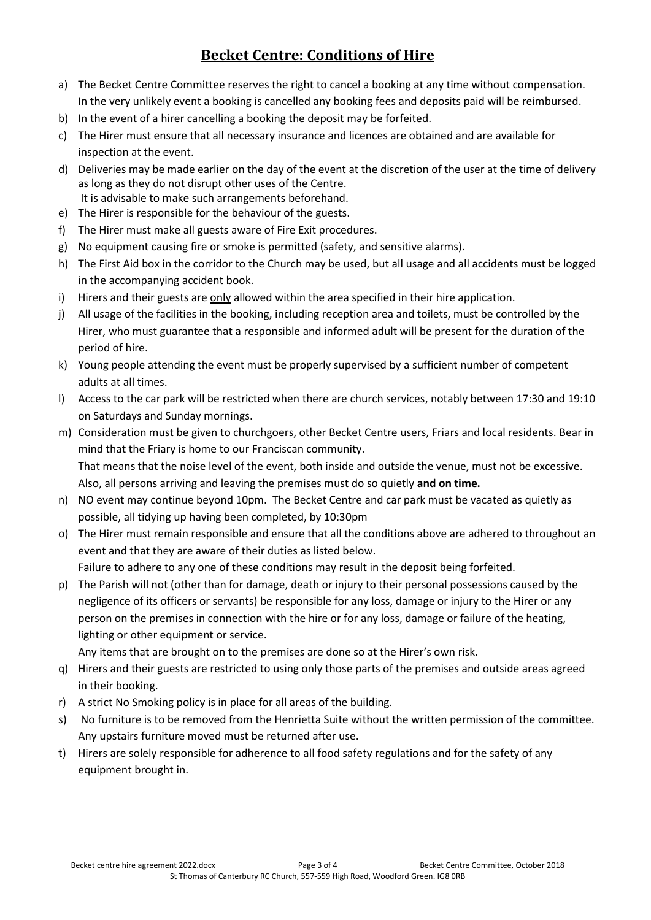# **Becket Centre: Conditions of Hire**

- a) The Becket Centre Committee reserves the right to cancel a booking at any time without compensation. In the very unlikely event a booking is cancelled any booking fees and deposits paid will be reimbursed.
- b) In the event of a hirer cancelling a booking the deposit may be forfeited.
- c) The Hirer must ensure that all necessary insurance and licences are obtained and are available for inspection at the event.
- d) Deliveries may be made earlier on the day of the event at the discretion of the user at the time of delivery as long as they do not disrupt other uses of the Centre. It is advisable to make such arrangements beforehand.
- e) The Hirer is responsible for the behaviour of the guests.
- f) The Hirer must make all guests aware of Fire Exit procedures.
- g) No equipment causing fire or smoke is permitted (safety, and sensitive alarms).
- h) The First Aid box in the corridor to the Church may be used, but all usage and all accidents must be logged in the accompanying accident book.
- i) Hirers and their guests are only allowed within the area specified in their hire application.
- j) All usage of the facilities in the booking, including reception area and toilets, must be controlled by the Hirer, who must guarantee that a responsible and informed adult will be present for the duration of the period of hire.
- k) Young people attending the event must be properly supervised by a sufficient number of competent adults at all times.
- l) Access to the car park will be restricted when there are church services, notably between 17:30 and 19:10 on Saturdays and Sunday mornings.
- m) Consideration must be given to churchgoers, other Becket Centre users, Friars and local residents. Bear in mind that the Friary is home to our Franciscan community. That means that the noise level of the event, both inside and outside the venue, must not be excessive. Also, all persons arriving and leaving the premises must do so quietly **and on time.**
- n) NO event may continue beyond 10pm. The Becket Centre and car park must be vacated as quietly as possible, all tidying up having been completed, by 10:30pm
- o) The Hirer must remain responsible and ensure that all the conditions above are adhered to throughout an event and that they are aware of their duties as listed below. Failure to adhere to any one of these conditions may result in the deposit being forfeited.
- p) The Parish will not (other than for damage, death or injury to their personal possessions caused by the negligence of its officers or servants) be responsible for any loss, damage or injury to the Hirer or any person on the premises in connection with the hire or for any loss, damage or failure of the heating, lighting or other equipment or service.

Any items that are brought on to the premises are done so at the Hirer's own risk.

- q) Hirers and their guests are restricted to using only those parts of the premises and outside areas agreed in their booking.
- r) A strict No Smoking policy is in place for all areas of the building.
- s) No furniture is to be removed from the Henrietta Suite without the written permission of the committee. Any upstairs furniture moved must be returned after use.
- t) Hirers are solely responsible for adherence to all food safety regulations and for the safety of any equipment brought in.